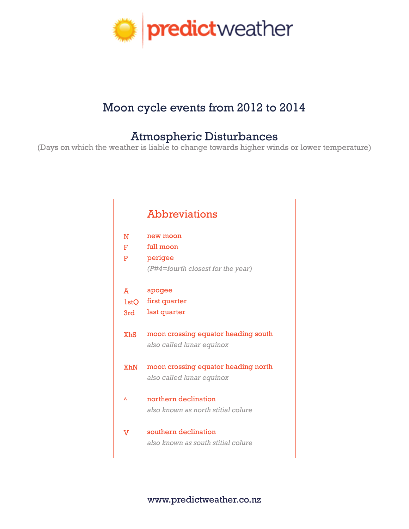

## Moon cycle events from 2012 to 2014

## Atmospheric Disturbances

(Days on which the weather is liable to change towards higher winds or lower temperature)

|             | <b>Abbreviations</b>                                             |
|-------------|------------------------------------------------------------------|
| N           | new moon                                                         |
| F.          | full moon                                                        |
| P           | perigee                                                          |
|             | (P#4=fourth closest for the year)                                |
|             |                                                                  |
| A           | apogee                                                           |
| <b>lstO</b> | first quarter                                                    |
| 3rd         | last quarter                                                     |
| <b>XhS</b>  | moon crossing equator heading south<br>also called lunar equinox |
| XhN         | moon crossing equator heading north<br>also called lunar equinox |
| Λ           | northern declination<br>also known as north stitial colure       |
| v           | southern declination                                             |
|             | also known as south stitial colure                               |
|             |                                                                  |

www.predictweather.co.nz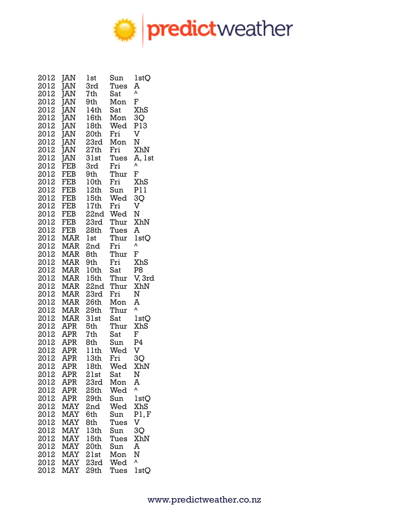

| 2012         | <b>JAN</b> | lst          | Sun         | lstQ                     |
|--------------|------------|--------------|-------------|--------------------------|
| 2012         | <b>JAN</b> | 3rd          | Tues        | A                        |
| 2012         | <b>JAN</b> | 7th          | Sat         | ٨                        |
| 2012         | ĪAN        | 9th          | Mon         | F                        |
| 2012         | ĪAN        | 14th         | Sat         | XhS                      |
| 2012         | ĪAN        | 16th         | Mon         | 3Q                       |
| 2012         | ĪAN        | 18th         | Wed         | P13                      |
| 2012         | ĪAN        | 20th         | Fri         | V                        |
| 2012         | ĪAN        | 23rd         | Mon         | N                        |
| 2012         | ĪAN        | 27th         | Fri         | XhN                      |
| 2012         | ĪĀN        | 31st         | Tues        | A, 1st                   |
| 2012         | FEB        | 3rd          | Fri         | ٨                        |
| 2012         | <b>FEB</b> | 9th          | Thur        | F                        |
| 2012         | <b>FEB</b> | 10th         | Fri         | XhS                      |
| 2012         | <b>FEB</b> | 12th         | Sun         | P11                      |
| 2012         | <b>FEB</b> | 15th         | Wed         | 3Q                       |
| 2012         | <b>FEB</b> | 17th         | Fri         | V                        |
| 2012         | <b>FEB</b> | 22nd         | Wed         | Ν                        |
| 2012         | FEB        | 23rd         | Thur        | XhN                      |
| 2012         | <b>FEB</b> | 28th         | Tues        | A                        |
| 2012         | MAR        | 1st          | Thur        | 1stQ                     |
| 2012         | MAR        | 2nd          | Fri         | ٨                        |
| 2012         | <b>MAR</b> | 8th          | Thur        | F                        |
| 2012         | <b>MAR</b> | 9th          | Fri         | <b>XhS</b>               |
| 2012         | MAR        | 10th         | Sat         | P <sub>8</sub>           |
| 2012         | MAR        | 15th         | Thur        | V, 3rd                   |
| 2012         | MAR        | 22nd         | Thur        | XhN                      |
| 2012         | MAR        | 23rd         | Fri         | N<br>A                   |
| 2012<br>2012 | MAR<br>MAR | 26th<br>29th | Mon<br>Thur | Λ                        |
| 2012         | <b>MAR</b> | 31st         | Sat         |                          |
| 2012         | <b>APR</b> | 5th          | Thur        | 1 <sub>st</sub> Q<br>XhS |
| 2012         | <b>APR</b> | 7th          | Sat         | F                        |
| 2012         | <b>APR</b> | 8th          | Sun         | P4                       |
| 2012         | <b>APR</b> | 11th         | Wed         | V                        |
| 2012         | APR        | 13th         | Fri         | 3Q                       |
| 2012         | APR        | 18th         | Wed         | XhN                      |
| 2012         | <b>APR</b> | 21st         | Sat         | ${\bf N}$                |
| 2012         | APR        | 23rd         | Mon         | A                        |
| 2012         | <b>APR</b> | 25th         | Wed         | Λ                        |
| 2012         | <b>APR</b> | 29th         | Sun         | 1 <sub>st</sub> Q        |
| 2012         | <b>MAY</b> | 2nd          | Wed         | XhS                      |
| 2012         | <b>MAY</b> | 6th          | Sun         | PI, F                    |
| 2012         | <b>MAY</b> | 8th          | Tues        | V                        |
| 2012         | <b>MAY</b> | 13th         | Sun         | 3Q                       |
| 2012         | <b>MAY</b> | 15th         | Tues        | XhN                      |
| 2012         | <b>MAY</b> | 20th         | Sun         | A                        |
| 2012         | <b>MAY</b> | 21st         | Mon         | N                        |
| 2012         | <b>MAY</b> | 23rd         | Wed         | Λ                        |
| 2012         | <b>MAY</b> | 29th         | Tues        | <b>lstQ</b>              |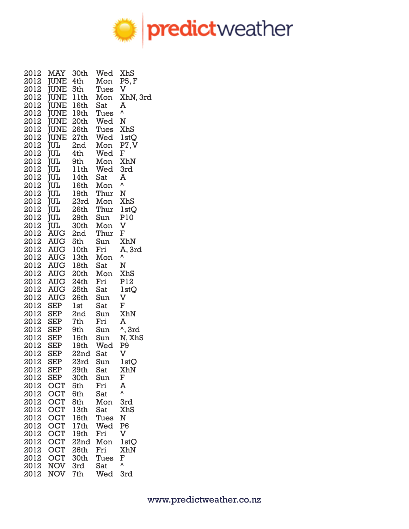

| 2012 | MAY         | 30th | Wed  | XhS               |
|------|-------------|------|------|-------------------|
| 2012 | JUNE 4th    |      | Mon  | P5, F             |
| 2012 | <b>JUNE</b> | 5th  | Tues | V                 |
| 2012 | <b>JUNE</b> | 11th | Mon  | XhN, 3rd          |
| 2012 | <b>JUNE</b> | 16th | Sat  | A                 |
| 2012 | <b>JUNE</b> | 19th | Tues | Λ                 |
| 2012 | <b>JUNE</b> | 20th | Wed  | N                 |
| 2012 | <b>JUNE</b> | 26th | Tues | XhS               |
| 2012 | <b>JUNE</b> | 27th | Wed  | 1 <sub>st</sub> Q |
| 2012 | <b>JUL</b>  | 2nd  | Mon  | P7, V             |
| 2012 | <b>TUL</b>  | 4th  | Wed  | F                 |
| 2012 | JUL         | 9th  | Mon  | XhN               |
| 2012 | JUL         | 11th | Wed  | 3rd               |
| 2012 | JUL         | 14th | Sat  | A                 |
| 2012 | JUL         | 16th | Mon  | Λ                 |
| 2012 | JUL         | 19th | Thur | N                 |
| 2012 | JUL         | 23rd | Mon  | XhS               |
| 2012 | <b>JUL</b>  | 26th | Thur | 1 <sub>st</sub> Q |
| 2012 | JUL         | 29th | Sun  | P10               |
| 2012 | <b>JUL</b>  | 30th | Mon  | V                 |
| 2012 | <b>AUG</b>  | 2nd  | Thur | F                 |
| 2012 | AUG         | 5th  | Sun  | XhN               |
| 2012 | AUG         | 10th | Fri  | A, 3rd            |
| 2012 | AUG 13th    |      | Mon  | ٨                 |
| 2012 | AUG 18th    |      | Sat  | Ν                 |
| 2012 | <b>AUG</b>  | 20th | Mon  | XhS               |
| 2012 | AUG         | 24th | Fri  | P12               |
| 2012 | AUG         | 25th | Sat  | 1 <sub>st</sub> Q |
| 2012 | <b>AUG</b>  | 26th | Sun  | V                 |
| 2012 | SEP         | lst  | Sat  | F                 |
| 2012 | SEP         | 2nd  | Sun  | XhN               |
| 2012 | SEP         | 7th  | Fri  | A                 |
| 2012 | SEP         | 9th  | Sun  |                   |
| 2012 | SEP         | 16th | Sun  | ^, 3rd<br>N, XhS  |
| 2012 | SEP         | 19th | Wed  | P <sub>9</sub>    |
| 2012 | SEP         | 22nd | Sat  | V                 |
| 2012 | <b>SEP</b>  | 23rd | Sun  | <b>lstQ</b>       |
| 2012 | <b>SEP</b>  | 29th | Sat  | XhN               |
| 2012 | SEP         | 30th | Sun  | F                 |
| 2012 | <b>OCT</b>  | 5th  | Fri  | A                 |
| 2012 | <b>OCT</b>  | 6th  | Sat  | ٨                 |
| 2012 | <b>OCT</b>  | 8th  | Mon  | 3rd               |
| 2012 | <b>OCT</b>  | 13th | Sat  | XhS               |
| 2012 | <b>OCT</b>  | 16th | Tues | N                 |
| 2012 | <b>OCT</b>  | 17th | Wed  | P <sub>6</sub>    |
| 2012 | <b>OCT</b>  | 19th | Fri  | V                 |
| 2012 | <b>OCT</b>  | 22nd | Mon  | 1 <sub>st</sub> Q |
| 2012 | <b>OCT</b>  | 26th | Fri  | XhN               |
| 2012 | <b>OCT</b>  | 30th | Tues | F                 |
| 2012 | NOV         | 3rd  | Sat  | ٨                 |
| 2012 | <b>NOV</b>  | 7th  | Wed  | 3rd               |
|      |             |      |      |                   |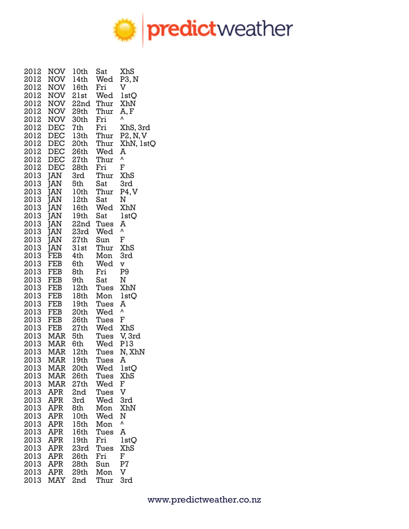

| 2012     | NOV        | 10th             | Sat  | XhS               |
|----------|------------|------------------|------|-------------------|
| 2012     | NOV        | 14th             | Wed  | P3, N             |
| 2012     | <b>NOV</b> | 16th             | Fri  | V                 |
| 2012     | <b>NOV</b> | 21st             | Wed  | 1 <sub>st</sub> Q |
| 2012     | <b>NOV</b> | 22nd             | Thur | XhN               |
| 2012     | NOV        | 29th             | Thur | A, F              |
| 2012     | NOV        | 30th             | Fri  | ٨                 |
| 2012     | <b>DEC</b> | 7th              | Fri  | XhS, 3rd          |
| 2012     | <b>DEC</b> | 13th             | Thur | P2, N, V          |
| 2012     | <b>DEC</b> | 20th             | Thur | XhN, 1stQ         |
| 2012     | <b>DEC</b> | 26th             | Wed  | A                 |
| 2012     | <b>DEC</b> | 27th             | Thur | Λ                 |
| 2012     | <b>DEC</b> | 28th             | Fri  | F                 |
| 2013 JAN |            | 3rd              | Thur | XhS               |
| 2013     | JAN        | 5th              | Sat  | 3rd               |
| 2013     | JAN        | 10th             | Thur | P4, V             |
| 2013     | JAN        | 12th             | Sat  | N                 |
| 2013     | JAN        | 16th             | Wed  | XhN               |
| 2013     | JAN        | 19th             | Sat  | <b>lstO</b>       |
| 2013     | JAN        | 22nd             | Tues | A                 |
| 2013     | JAN        | 23rd             | Wed  | Λ                 |
| 2013     | JAN        | 27th             | Sun  | F                 |
| 2013     | JAN        | 31st             | Thur | XhS               |
| 2013     | FEB        | 4th              | Mon  | 3rd               |
| 2013     | FEB        | 6th              | Wed  | V                 |
| 2013     | FEB        | 8th              | Fri  | P <sub>9</sub>    |
| 2013     | FEB        | 9th              | Sat  | Ν                 |
| 2013     | FEB        | 12 <sub>th</sub> | Tues | XhN               |
| 2013     | FEB        | 18th             | Mon  | 1 <sub>st</sub> Q |
| 2013     | FEB        | 19th             | Tues | A                 |
| 2013     | FEB        | 20th             | Wed  | Λ                 |
| 2013     | FEB        | 26th             | Tues | F                 |
| 2013     | FEB        | 27th             | Wed  | XhS               |
| 2013     | MAR        | 5th              | Tues | V, 3rd            |
|          | 2013 MAR   | 6th              | Wed  | P13               |
|          | 2013 MAR   | 12th             | Tues | N, XhN            |
| 2013     | <b>MAR</b> | 19 <sub>th</sub> | Tues | A                 |
| 2013     | MAR        | 20th             | Wed  | 1 <sub>st</sub> Q |
| 2013     | MAR        | 26th             | Tues | XhS               |
| 2013     | <b>MAR</b> | 27th             | Wed  | F                 |
| 2013     | <b>APR</b> | 2nd              | Tues | V                 |
| 2013     | APR        | 3rd              | Wed  | 3rd               |
| 2013     | APR        | 8th              | Mon  | XhN               |
| 2013     | APR        | 10th             | Wed  | N                 |
| 2013     | APR        | 15th             | Mon  | ٨                 |
| 2013     | APR        | 16th             | Tues | A                 |
| 2013     | APR        | 19th             | Fri  | 1stQ              |
| 2013     | APR        | 23rd             | Tues | XhS               |
| 2013     | APR        | 26th             | Fri  | F                 |
| 2013     | APR        | 28th             | Sun  | P <sub>7</sub>    |
| 2013     | <b>APR</b> | 29th             | Mon  | V                 |
| 2013     | MAY        | 2nd              | Thur | 3rd               |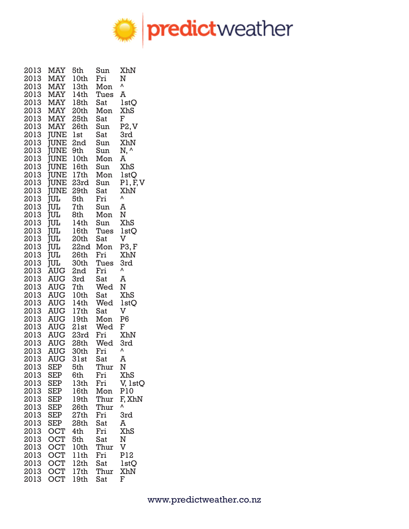

| 2013 | MAY         | 5th              | Sun  | XhN               |
|------|-------------|------------------|------|-------------------|
| 2013 | <b>MAY</b>  | 10th             | Fri  | N                 |
| 2013 | MAY         | 13th             | Mon  | ٨                 |
| 2013 | MAY         | 14th             | Tues | A                 |
| 2013 | MAY         | 18th             | Sat  | 1 <sub>st</sub> Q |
| 2013 | MAY         | 20th             | Mon  | <b>XhS</b>        |
| 2013 | MAY         | 25th             | Sat  | F                 |
| 2013 | MAY         | 26th             | Sun  | P2, V             |
| 2013 | JUNE        | lst              | Sat  | 3rd               |
|      | <b>JUNE</b> |                  |      | XhN               |
| 2013 |             | 2nd              | Sun  |                   |
| 2013 | <b>JUNE</b> | 9th              | Sun  | N, ^              |
| 2013 | <b>JUNE</b> | 10th             | Mon  | A                 |
| 2013 | <b>JUNE</b> | 16th             | Sun  | XhS               |
| 2013 | <b>JUNE</b> | 17th             | Mon  | 1 <sub>st</sub> Q |
| 2013 | JUNE        | 23rd             | Sun  | P1, F, V          |
| 2013 | <b>JUNE</b> | 29th             | Sat  | XhN               |
| 2013 | <b>JUL</b>  | 5th              | Fri  | ٨                 |
| 2013 | <b>JUL</b>  | 7th              | Sun  | A                 |
| 2013 | <b>JUL</b>  | 8th              | Mon  | N                 |
| 2013 | <b>JUL</b>  | 14th             | Sun  | XhS               |
| 2013 | <b>JUL</b>  | 16th             | Tues | <b>lstO</b>       |
| 2013 | <b>JUL</b>  | 20th             | Sat  | V                 |
| 2013 | <b>JUL</b>  | 22nd             | Mon  | P3, F             |
| 2013 | jш          | 26th             | Fri  | XhN               |
| 2013 | JUL         | 30th             | Tues | 3rd               |
| 2013 | <b>AUG</b>  | 2nd              | Fri  | ٨                 |
| 2013 | <b>AUG</b>  | 3rd              | Sat  | A                 |
| 2013 | AUG         | 7th              | Wed  | N                 |
| 2013 | <b>AUG</b>  | 10th             | Sat  | XhS               |
| 2013 | <b>AUG</b>  | 14th             | Wed  | 1 <sub>st</sub> Q |
| 2013 | AUG         | 17th             | Sat  | V                 |
| 2013 | AUG         | 19th             | Mon  | P <sub>6</sub>    |
|      |             |                  |      |                   |
| 2013 | AUG         | 21st             | Wed  | ${\bf F}$         |
| 2013 | AUG         | 23rd             | Fri  | XhN               |
| 2013 | <b>AUG</b>  | 28th             | Wed  | 3rd<br>٨          |
| 2013 | AUG 30th    |                  | Fri  |                   |
| 2013 | <b>AUG</b>  | 31st             | Sat  | A                 |
| 2013 | SEP         | 5th              | Thur | N                 |
| 2013 | <b>SEP</b>  | 6th              | Fri  | XhS               |
| 2013 | <b>SEP</b>  | 13th             | Fri  | V, 1stQ           |
| 2013 | <b>SEP</b>  | 16th             | Mon  | P10               |
| 2013 | <b>SEP</b>  | 19th             | Thur | F, XhN            |
| 2013 | <b>SEP</b>  | 26th             | Thur | ٨                 |
| 2013 | <b>SEP</b>  | 27th             | Fri  | 3rd               |
| 2013 | <b>SEP</b>  | 28th             | Sat  | A                 |
| 2013 | <b>OCT</b>  | 4th              | Fri  | XhS               |
| 2013 | OCT         | 5th              | Sat  | N                 |
| 2013 | OCT         | 10th             | Thur | V                 |
| 2013 | <b>OCT</b>  | 11th             | Fri  | P12               |
| 2013 | <b>OCT</b>  | 12th             | Sat  | 1 <sub>st</sub> Q |
| 2013 | <b>OCT</b>  | 17 <sub>th</sub> | Thur | XhN               |
| 2013 | <b>OCT</b>  | 19th             | Sat  | F                 |
|      |             |                  |      |                   |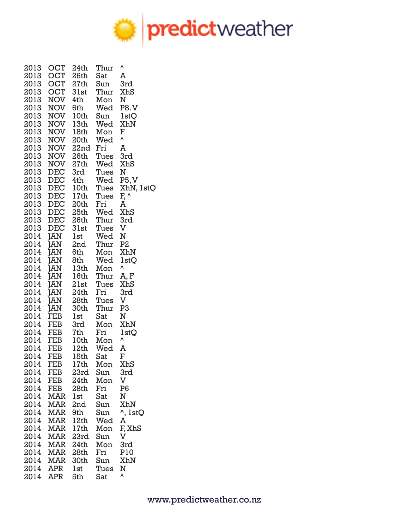

| 2013<br>2013     | OCT<br>OCT                          | 24th<br>26th    | Thur<br>Sat | Λ<br>A                           |
|------------------|-------------------------------------|-----------------|-------------|----------------------------------|
| 2013             | OCT                                 | 27th            | Sun         | 3rd                              |
|                  | 2013 OCT                            | 31st            | Thur        | XhS                              |
| 2013             | NOV                                 | 4th             | Mon         | Ν                                |
| 2013<br>2013     | NOV                                 | 6th<br>NOV 10th | Wed<br>Sun  | <b>P8.V</b><br>1 <sub>st</sub> Q |
| 2013             | NOV                                 | 13th            | Wed         | XhN                              |
| 2013             |                                     | NOV 18th Mon    |             | F                                |
|                  | 2013 NOV 20th                       |                 | Wed         | ٨                                |
|                  | 2013 NOV 22nd Fri                   |                 |             | A                                |
|                  | 2013 NOV 26th Tues<br>2013 NOV 27th |                 | Wed         | 3rd<br>XhS                       |
| 2013             | DEC                                 | 3rd             | Tues        | N                                |
| 2013             | DEC                                 | 4th             | Wed         | P5, V                            |
| 2013             |                                     | DEC 10th        | Tues        | XhN, 1stQ                        |
| 2013             |                                     | DEC 17th        | Tues        | F, ^                             |
|                  | 2013 DEC 20th<br>2013 DEC 25th      |                 | Fri         | A                                |
|                  | 2013 DEC 26th                       |                 | Wed<br>Thur | XhS<br>3rd                       |
| 2013             | DEC                                 |                 | 31st Tues   | V                                |
| 2014             | JAN                                 | lst             | Wed         | N                                |
| 2014             | <b>JAN</b>                          | 2nd             | Thur        | P <sub>2</sub>                   |
| 2014             | JAN                                 | 6th             | Mon         | XhN                              |
| 2014<br>2014     | <b>JAN</b><br><b>JAN</b>            | 8th<br>13th     | Wed<br>Mon  | 1 <sub>st</sub> Q<br>٨           |
| 2014             | JAN                                 | 16th            | Thur        | A, F                             |
| 2014             | <b>JAN</b>                          | 21st            | Tues        | XhS                              |
| 2014             | <b>JAN</b>                          | 24th            | Fri         | 3rd                              |
| 2014             | JAN                                 | 28th            | Tues        | V                                |
| 2014             | JAN                                 | 30th            | Thur        | P3                               |
| 2014<br>2014 FEB | <b>FEB</b>                          | lst<br>3rd      | Sat<br>Mon  | N<br>XhN                         |
| 2014 FEB         |                                     | 7th             | Fri         | 1 <sub>st</sub> Q                |
| 2014 FEB         |                                     | 10th            | Mon         | ٨                                |
| 2014 FEB         |                                     | 12th            | Wed         | A                                |
| 2014             | <b>FEB</b>                          | 15th            | Sat         | F                                |
| 2014<br>2014     | FEB<br>FEB                          | 17th<br>23rd    | Mon<br>Sun  | XhS<br>3rd                       |
| 2014             | FEB                                 | 24th            | Mon         | V                                |
| 2014             | FEB                                 | 28th            | Fri         | P <sub>6</sub>                   |
| 2014             | <b>MAR</b>                          | lst             | Sat         | N                                |
| 2014             | MAR                                 | 2nd             | Sun         | XhN                              |
| 2014<br>2014     | MAR<br>MAR                          | 9th<br>12th     | Sun<br>Wed  | $\lambda$ , 1stQ<br>A            |
| 2014             | MAR                                 | 17th            | Mon         | F, XhS                           |
| 2014             | MAR                                 | 23rd            | Sun         | $\rm{V}$                         |
| 2014             | MAR                                 | 24th            | Mon         | 3rd                              |
|                  | 2014 MAR                            | 28th            | Fri         | <b>P10</b>                       |
|                  | 2014 MAR                            | 30th            | Sun         | XhN                              |
| 2014 APR<br>2014 | <b>APR</b>                          | lst<br>5th      | Tues<br>Sat | N<br>۷                           |
|                  |                                     |                 |             |                                  |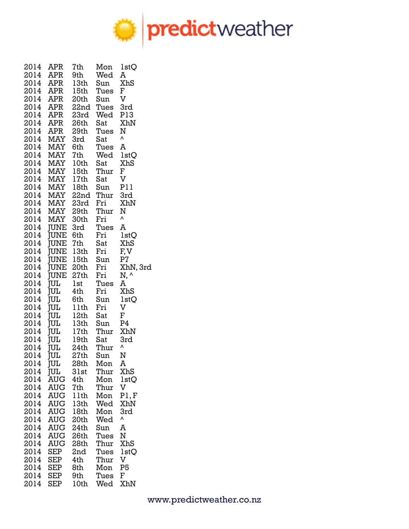

| 2014 | <b>APR</b>  | 7th              | Mon  | 1 <sub>st</sub> Q         |
|------|-------------|------------------|------|---------------------------|
| 2014 | APR         | 9th              | Wed  | A                         |
| 2014 | APR         | 13th             | Sun  | XhS                       |
| 2014 | APR         | 15th             | Tues | F                         |
| 2014 | APR         | 20th             | Sun  | V                         |
| 2014 | <b>APR</b>  | 22nd             | Tues | 3rd                       |
| 2014 | APR         | 23rd             | Wed  | P13                       |
| 2014 | APR         | 26th             | Sat  | XhN                       |
| 2014 | APR         | 29th             | Tues | N                         |
| 2014 | <b>MAY</b>  | 3rd              | Sat  | Λ                         |
| 2014 | <b>MAY</b>  | 6th              | Tues | A                         |
| 2014 | <b>MAY</b>  | 7th              | Wed  | 1 <sub>st</sub> Q         |
| 2014 | <b>MAY</b>  | 10th             | Sat  | XhS                       |
| 2014 |             | MAY 15th         | Thur | F                         |
| 2014 |             | MAY 17th         | Sat  | V                         |
| 2014 |             | MAY 18th         | Sun  | P11                       |
| 2014 |             | MAY 22nd         | Thur | 3rd                       |
| 2014 | <b>MAY</b>  | 23rd             | Fri  | XhN                       |
| 2014 | <b>MAY</b>  | 29th             | Thur | Ν                         |
| 2014 | <b>MAY</b>  | 30th             | Fri  | ٨                         |
| 2014 | JUNE 3rd    |                  | Tues | A                         |
| 2014 | JUNE 6th    |                  | Fri  | 1 <sub>st</sub> Q         |
| 2014 | JUNE 7th    |                  | Sat  | <b>XhS</b>                |
| 2014 |             | JUNE 13th        | Fri  | F, V                      |
| 2014 |             | JUNE 15th        | Sun  | P7                        |
| 2014 |             | JUNE 20th        | Fri  | XhN, 3rd                  |
| 2014 | <b>JUNE</b> | 27th             | Fri  | N, ^                      |
| 2014 | <b>JUL</b>  | lst              | Tues | A                         |
| 2014 | <b>JUL</b>  | 4th              | Fri  | XhS                       |
| 2014 | <b>TUL</b>  | 6th              | Sun  | 1 <sub>st</sub> Q         |
| 2014 | <b>TUL</b>  | 11th             | Fri  | $\boldsymbol{\mathrm{V}}$ |
| 2014 | <b>JUL</b>  | 12th             | Sat  | F                         |
| 2014 | <b>JUL</b>  | 13 <sub>th</sub> | Sun  | P4                        |
| 2014 | <b>JUL</b>  | 17th             | Thur | XhN                       |
| 2014 | <b>JUL</b>  | 19th             | Sat  | 3rd                       |
| 2014 | ĪUL         | 24th             | Thur | ٨                         |
| 2014 | ĪUL         | 27th             | Sun  | N                         |
| 2014 | JUL         | 28th             | Mon  | A                         |
| 2014 | <b>JUL</b>  | 31st             | Thur | XhS                       |
| 2014 | <b>AUG</b>  | 4th              | Mon  | 1 <sub>st</sub> Q         |
| 2014 | AUG         | 7th              | Thur | $\mathbf V$               |
| 2014 | <b>AUG</b>  | 11th             | Mon  | P1, F                     |
| 2014 | <b>AUG</b>  | 13th             | Wed  | XhN                       |
| 2014 | <b>AUG</b>  | 18th             | Mon  | 3rd                       |
| 2014 | <b>AUG</b>  | 20th             | Wed  | ٨                         |
| 2014 | <b>AUG</b>  | 24th             | Sun  | A                         |
| 2014 | <b>AUG</b>  | 26th             | Tues | N                         |
| 2014 | <b>AUG</b>  | 28th             | Thur | XhS                       |
| 2014 | <b>SEP</b>  | 2nd              | Tues | 1 <sub>st</sub> Q         |
| 2014 | <b>SEP</b>  | 4th              | Thur | V                         |
| 2014 | <b>SEP</b>  | 8th              | Mon  | P <sub>5</sub>            |
| 2014 | <b>SEP</b>  | 9th              | Tues | F                         |
| 2014 | <b>SEP</b>  | 10th             | Wed  | XhN                       |
|      |             |                  |      |                           |